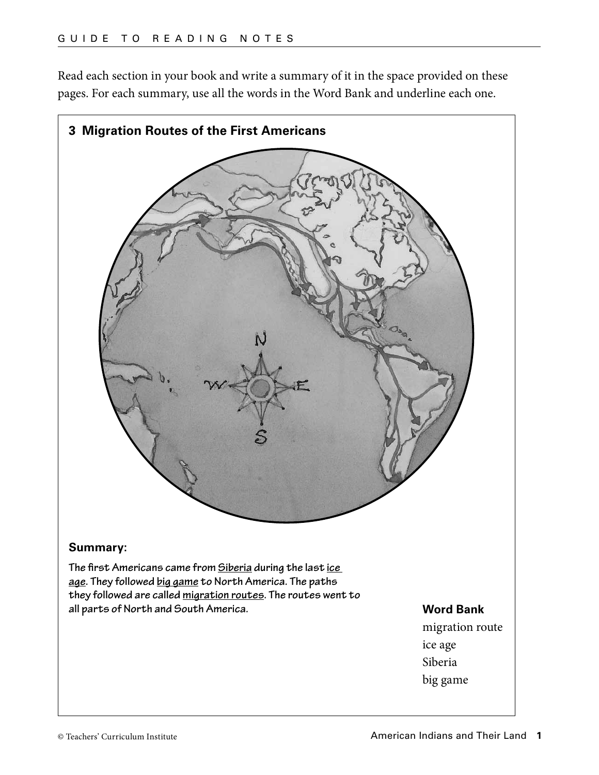Read each section in your book and write a summary of it in the space provided on these pages. For each summary, use all the words in the Word Bank and underline each one.



**The first Americans came from Siberia during the last ice age. They followed big game to North America. The paths they followed are called migration routes. The routes went to all parts of North and South America.**

## **Word Bank**

migration route ice age Siberia big game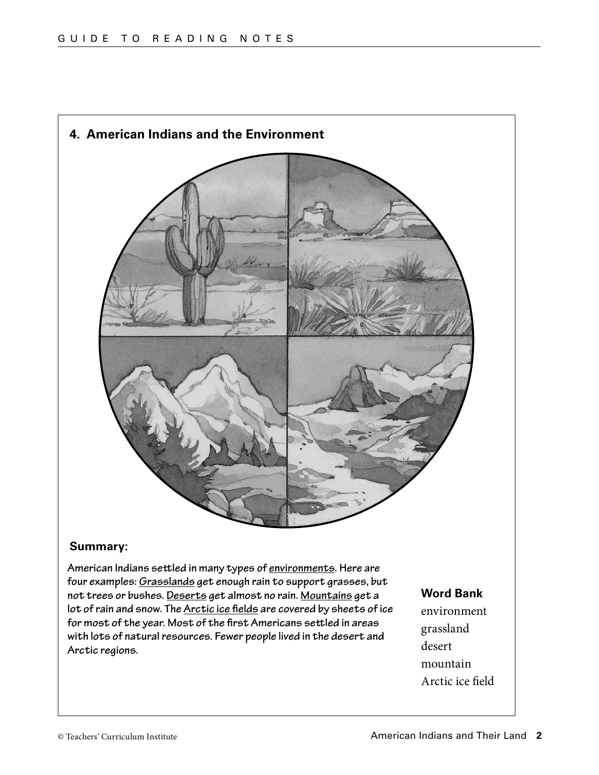

## **Summary:**

**American Indians settled in many types of environments. Here are four examples: Grasslands get enough rain to support grasses, but not trees or bushes. Deserts get almost no rain. Mountains get a lot of rain and snow. The Arctic ice fields are covered by sheets of ice for most of the year. Most of the first Americans settled in areas with lots of natural resources. Fewer people lived in the desert and Arctic regions.**

**Word Bank**

environment grassland desert mountain Arctic ice field